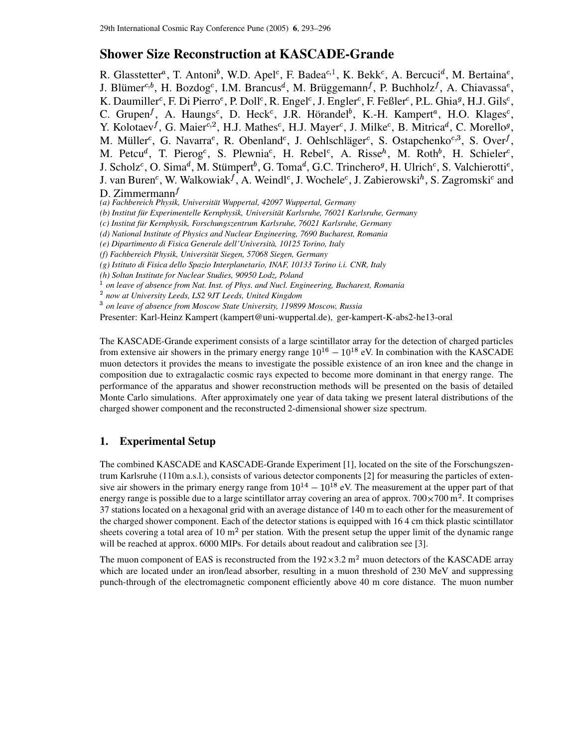# **Shower Size Reconstruction at KASCADE-Grande**

R. Glasstetter<sup>a</sup>, T. Antoni<sup>b</sup>, W.D. Apel<sup>c</sup>, F. Badea<sup>c,1</sup>, K. Bekk<sup>c</sup>, A. Bercuci<sup>d</sup>, M. Bertaina<sup>e</sup>, J. Blümer<sup>c,b</sup>, H. Bozdog<sup>c</sup>, I.M. Brancus<sup>d</sup>, M. Brüggemann<sup>f</sup>, P. Buchholz<sup>f</sup>, A. Chiavassa<sup>e</sup>, K. Daumiller<sup>c</sup>, F. Di Pierro<sup>e</sup>, P. Doll<sup>c</sup>, R. Engel<sup>c</sup>, J. Engler<sup>c</sup>, F. Feßler<sup>c</sup>, P.L. Ghia<sup>g</sup>, H.J. Gils<sup>c</sup>, C. Grupen<sup>f</sup>, A. Haungs<sup>c</sup>, D. Heck<sup>c</sup>, J.R. Hörandel<sup>b</sup>, K.-H. Kampert<sup>a</sup>, H.O. Klages<sup>c</sup>, Y. Kolotaev<sup>f</sup>, G. Maier<sup>c, 2</sup>, H.J. Mathes<sup>c</sup>, H.J. Mayer<sup>c</sup>, J. Milke<sup>c</sup>, B. Mitrica<sup>d</sup>, C. Morello<sup>g</sup>, M. Müller<sup>c</sup>, G. Navarra<sup>e</sup>, R. Obenland<sup>c</sup>, J. Oehlschläger<sup>c</sup>, S. Ostapchenko<sup>c,3</sup>, S. Over<sup>f</sup>, M. Petcu<sup>d</sup>, T. Pierog<sup>c</sup>, S. Plewnia<sup>c</sup>, H. Rebel<sup>c</sup>, A. Risse<sup>h</sup>, M. Roth<sup>b</sup>, H. Schieler<sup>c</sup>, J. Scholz<sup>c</sup>, O. Sima<sup>d</sup>, M. Stümpert<sup>b</sup>, G. Toma<sup>d</sup>, G.C. Trinchero<sup>g</sup>, H. Ulrich<sup>c</sup>, S. Valchierotti<sup>e</sup>, J. van Buren<sup>c</sup>, W. Walkowiak $^f$ , A. Weindl<sup>c</sup>, J. Wochele<sup>c</sup>, J. Zabierowski<sup>h</sup>, S. Zagromski<sup>c</sup> and D. Zimmermann $<sup>f</sup>$ </sup>

*(a) Fachbereich Physik, Universitat¨ Wuppertal, 42097 Wuppertal, Germany*

*(b) Institut fur¨ Experimentelle Kernphysik, Universitat¨ Karlsruhe, 76021 Karlsruhe, Germany*

*(c) Institut fur¨ Kernphysik, Forschungszentrum Karlsruhe, 76021 Karlsruhe, Germany*

*(d) National Institute of Physics and Nuclear Engineering, 7690 Bucharest, Romania*

*(e) Dipartimento di Fisica Generale dell'Universita,` 10125 Torino, Italy*

*(f) Fachbereich Physik, Universitat¨ Siegen, 57068 Siegen, Germany*

*(g) Istituto di Fisica dello Spazio Interplanetario, INAF, 10133 Torino i.i. CNR, Italy*

*(h) Soltan Institute for Nuclear Studies, 90950 Lodz, Poland*

*on leave of absence from Nat. Inst. of Phys. and Nucl. Engineering, Bucharest, Romania*

*now at University Leeds, LS2 9JT Leeds, United Kingdom*

*on leave of absence from Moscow State University, 119899 Moscow, Russia*

Presenter: Karl-Heinz Kampert (kampert@uni-wuppertal.de), ger-kampert-K-abs2-he13-oral

The KASCADE-Grande experiment consists of a large scintillator array for the detection of charged particles from extensive air showers in the primary energy range  $10^{16} - 10^{18}$  eV. In combination with the KASCADE muon detectors it provides the means to investigate the possible existence of an iron knee and the change in composition due to extragalactic cosmic rays expected to become more dominant in that energy range. The performance of the apparatus and shower reconstruction methods will be presented on the basis of detailed Monte Carlo simulations. After approximately one year of data taking we present lateral distributions of the charged shower component and the reconstructed 2-dimensional shower size spectrum.

## **1. Experimental Setup**

The combined KASCADE and KASCADE-Grande Experiment [1], located on the site of the Forschungszentrum Karlsruhe (110m a.s.l.), consists of various detector components [2] for measuring the particles of extensive air showers in the primary energy range from  $10^{14} - 10^{18}$  eV. The measurement at the upper part of that energy range is possible due to a large scintillator array covering an area of approx.  $700 \times 700 \text{ m}^2$ . It comprises 37 stations located on a hexagonal grid with an average distance of 140 m to each other for the measurement of the charged shower component. Each of the detector stations is equipped with 16 4 cm thick plastic scintillator sheets covering a total area of 10  $m<sup>2</sup>$  per station. With the present setup the upper limit of the dynamic range will be reached at approx. 6000 MIPs. For details about readout and calibration see [3].

The muon component of EAS is reconstructed from the  $192 \times 3.2$  m<sup>2</sup> muon detectors of the KASCADE array which are located under an iron/lead absorber, resulting in a muon threshold of 230 MeV and suppressing punch-through of the electromagnetic component efficiently above 40 m core distance. The muon number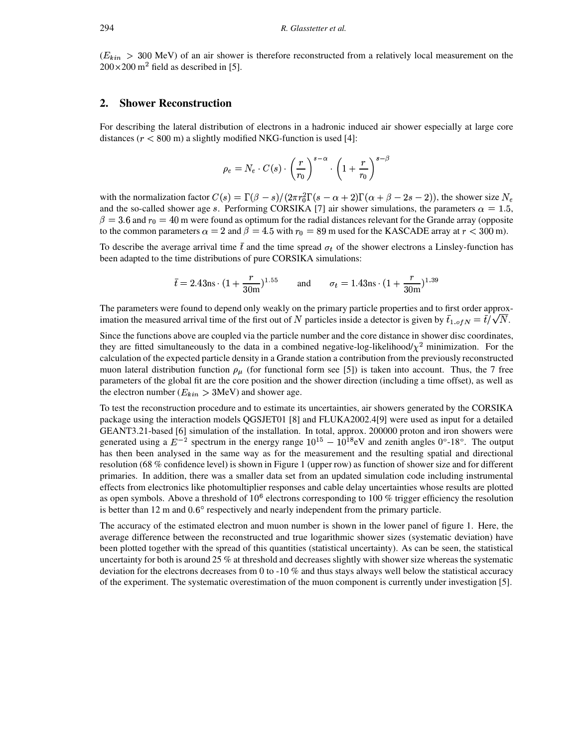$(E_{kin} > 300$  MeV) of an air shower is therefore reconstructed from a relatively local measurement on the  $200 \times 200$  m<sup>2</sup> field as described in [5].

## **2. Shower Reconstruction**

For describing the lateral distribution of electrons in a hadronic induced air shower especially at large core distances ( $r < 800$  m) a slightly modified NKG-function is used [4]:

$$
\rho_e = N_e \cdot C(s) \cdot \left(\frac{r}{r_0}\right)^{s-\alpha} \cdot \left(1 + \frac{r}{r_0}\right)^{s-\beta}
$$

with the normalization factor  $C(s) = \Gamma(\beta - s)/(2\pi r_0^2 \Gamma(s - \alpha + 2) \Gamma(\alpha + \beta - 2s - 2))$ , the shower size  $N_e$ and the so-called shower age s. Performing CORSIKA [7] air shower simulations, the parameters  $\alpha = 1.5$ ,  $\beta=3.6$  and  $r_0=40$  m were found as optimum for the radial distances relevant for the Grande array (opposite to the common parameters  $\alpha = 2$  and  $\beta = 4.5$  with  $r_0 = 89$  m used for the KASCADE array at  $r < 300$  m).

To describe the average arrival time  $\bar{t}$  and the time spread  $\sigma_t$  of the shower electrons a Linsley-function has been adapted to the time distributions of pure CORSIKA simulations:

$$
\bar{t} = 2.43 \text{ns} \cdot (1 + \frac{r}{30 \text{m}})^{1.55}
$$
 and  $\sigma_t = 1.43 \text{ns} \cdot (1 + \frac{r}{30 \text{m}})^{1.39}$ 

The parameters were found to depend only weakly on the primary particle properties and to first order approximation the measured arrival time of the first out of N particles inside a detector is given by  $\bar{t}_{1.0fN} = \bar{t}/\sqrt{N}$ .

Since the functions above are coupled via the particle number and the core distance in shower disc coordinates, they are fitted simultaneously to the data in a combined negative-log-likelihood/ $\chi^2$  minimization. For the calculation of the expected particle density in a Grande station a contribution from the previously reconstructed muon lateral distribution function  $\rho_{\mu}$  (for functional form see [5]) is taken into account. Thus, the 7 free parameters of the global fit are the core position and the shower direction (including a time offset), as well as the electron number ( $E_{kin} > 3$ MeV) and shower age.

To test the reconstruction procedure and to estimate its uncertainties, air showers generated by the CORSIKA package using the interaction models QGSJET01 [8] and FLUKA2002.4[9] were used as input for a detailed GEANT3.21-based [6] simulation of the installation. In total, approx. 200000 proton and iron showers were generated using a  $E^{-2}$  spectrum in the energy range  $10^{15} - 10^{18}$ eV and zenith angles 0°-18°. The output has then been analysed in the same way as for the measurement and the resulting spatial and directional resolution (68 % confidence level) is shown in Figure 1 (upper row) as function of shower size and for different primaries. In addition, there was a smaller data set from an updated simulation code including instrumental effects from electronics like photomultiplier responses and cable delay uncertainties whose results are plotted as open symbols. Above a threshold of  $10<sup>6</sup>$  electrons corresponding to 100 % trigger efficiency the resolution is better than 12 m and  $0.6^{\circ}$  respectively and nearly independent from the primary particle.

The accuracy of the estimated electron and muon number is shown in the lower panel of figure 1. Here, the average difference between the reconstructed and true logarithmic shower sizes (systematic deviation) have been plotted together with the spread of this quantities (statistical uncertainty). As can be seen, the statistical uncertainty for both is around 25 % at threshold and decreases slightly with shower size whereas the systematic deviation for the electrons decreases from 0 to -10 % and thus stays always well below the statistical accuracy of the experiment. The systematic overestimation of the muon component is currently under investigation [5].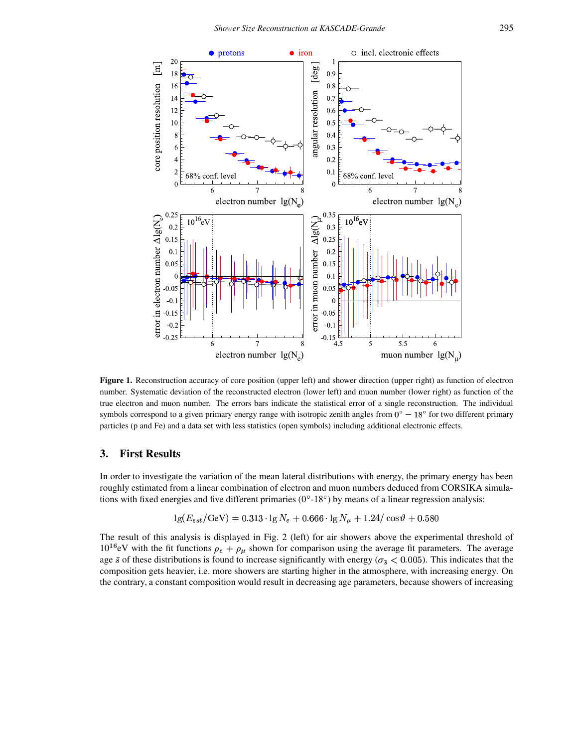

**Figure 1.** Reconstruction accuracy of core position (upper left) and shower direction (upper right) as function of electron number. Systematic deviation of the reconstructed electron (lower left) and muon number (lower right) as function of the true electron and muon number. The errors bars indicate the statistical error of a single reconstruction. The individual symbols correspond to a given primary energy range with isotropic zenith angles from  $0^{\circ} - 18^{\circ}$  for two different primary particles (p and Fe) and a data set with less statistics (open symbols) including additional electronic effects.

### **3. First Results**

In order to investigate the variation of the mean lateral distributions with energy, the primary energy has been roughly estimated from a linear combination of electron and muon numbers deduced from CORSIKA simulations with fixed energies and five different primaries  $(0^{\circ} - 18^{\circ})$  by means of a linear regression analysis:

$$
\lg(E_{est}/\text{GeV}) = 0.313 \cdot \lg N_e + 0.666 \cdot \lg N_u + 1.24 / \cos \vartheta + 0.580
$$

<sup>I</sup> The result of this analysis is displayed in Fig. 2 (left) for air showers above the experimental threshold of  $10^{16}$ eV with the fit functions  $\rho_e + \rho_\mu$  shown for comparison using the average fit parameters. The average age  $\bar{s}$  of these distributions is found to increase significantly with energy ( $\sigma_{\bar{s}} < 0.005$ ). This indicates that the age  $\bar{s}$  of these distributions is found to increase significantly with energy ( $\sigma_{\bar{s}} < 0.005$ ). This indicates that the composition gets heavier, i.e. more showers are starting higher in the atmosphere, with increasi the contrary, a constant composition would result in decreasing age parameters, because showers of increasing